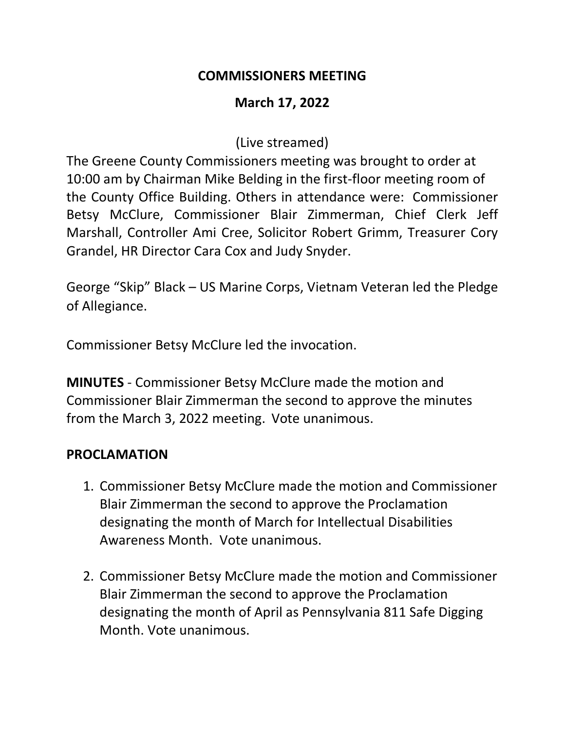#### **COMMISSIONERS MEETING**

### **March 17, 2022**

(Live streamed)

The Greene County Commissioners meeting was brought to order at 10:00 am by Chairman Mike Belding in the first-floor meeting room of the County Office Building. Others in attendance were: Commissioner Betsy McClure, Commissioner Blair Zimmerman, Chief Clerk Jeff Marshall, Controller Ami Cree, Solicitor Robert Grimm, Treasurer Cory Grandel, HR Director Cara Cox and Judy Snyder.

George "Skip" Black – US Marine Corps, Vietnam Veteran led the Pledge of Allegiance.

Commissioner Betsy McClure led the invocation.

**MINUTES** - Commissioner Betsy McClure made the motion and Commissioner Blair Zimmerman the second to approve the minutes from the March 3, 2022 meeting. Vote unanimous.

### **PROCLAMATION**

- 1. Commissioner Betsy McClure made the motion and Commissioner Blair Zimmerman the second to approve the Proclamation designating the month of March for Intellectual Disabilities Awareness Month. Vote unanimous.
- 2. Commissioner Betsy McClure made the motion and Commissioner Blair Zimmerman the second to approve the Proclamation designating the month of April as Pennsylvania 811 Safe Digging Month. Vote unanimous.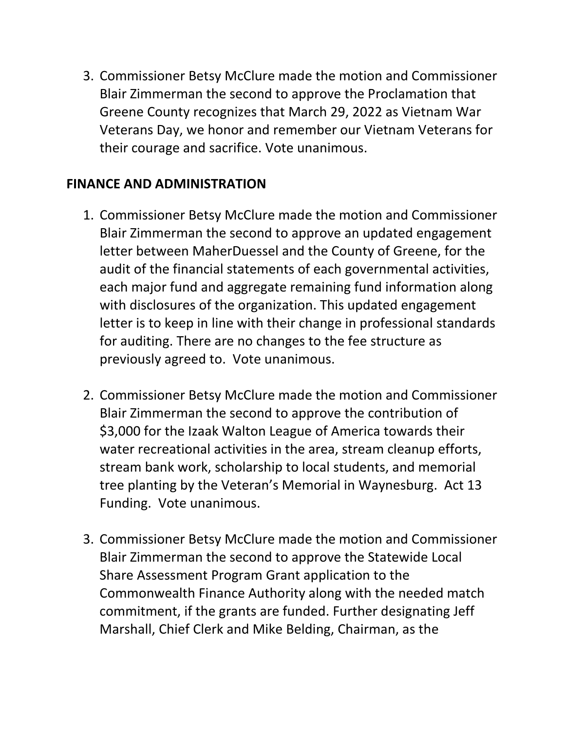3. Commissioner Betsy McClure made the motion and Commissioner Blair Zimmerman the second to approve the Proclamation that Greene County recognizes that March 29, 2022 as Vietnam War Veterans Day, we honor and remember our Vietnam Veterans for their courage and sacrifice. Vote unanimous.

### **FINANCE AND ADMINISTRATION**

- 1. Commissioner Betsy McClure made the motion and Commissioner Blair Zimmerman the second to approve an updated engagement letter between MaherDuessel and the County of Greene, for the audit of the financial statements of each governmental activities, each major fund and aggregate remaining fund information along with disclosures of the organization. This updated engagement letter is to keep in line with their change in professional standards for auditing. There are no changes to the fee structure as previously agreed to. Vote unanimous.
- 2. Commissioner Betsy McClure made the motion and Commissioner Blair Zimmerman the second to approve the contribution of \$3,000 for the Izaak Walton League of America towards their water recreational activities in the area, stream cleanup efforts, stream bank work, scholarship to local students, and memorial tree planting by the Veteran's Memorial in Waynesburg. Act 13 Funding. Vote unanimous.
- 3. Commissioner Betsy McClure made the motion and Commissioner Blair Zimmerman the second to approve the Statewide Local Share Assessment Program Grant application to the Commonwealth Finance Authority along with the needed match commitment, if the grants are funded. Further designating Jeff Marshall, Chief Clerk and Mike Belding, Chairman, as the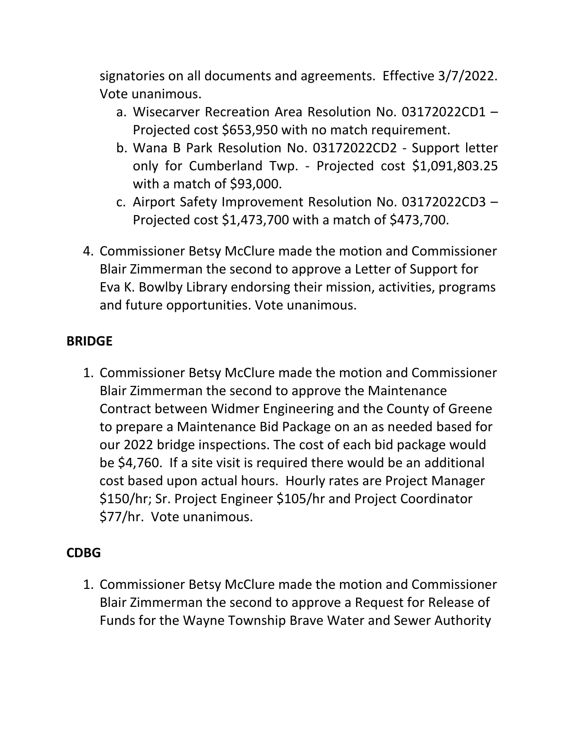signatories on all documents and agreements. Effective 3/7/2022. Vote unanimous.

- a. Wisecarver Recreation Area Resolution No. 03172022CD1 Projected cost \$653,950 with no match requirement.
- b. Wana B Park Resolution No. 03172022CD2 Support letter only for Cumberland Twp. - Projected cost \$1,091,803.25 with a match of \$93,000.
- c. Airport Safety Improvement Resolution No. 03172022CD3 Projected cost \$1,473,700 with a match of \$473,700.
- 4. Commissioner Betsy McClure made the motion and Commissioner Blair Zimmerman the second to approve a Letter of Support for Eva K. Bowlby Library endorsing their mission, activities, programs and future opportunities. Vote unanimous.

## **BRIDGE**

1. Commissioner Betsy McClure made the motion and Commissioner Blair Zimmerman the second to approve the Maintenance Contract between Widmer Engineering and the County of Greene to prepare a Maintenance Bid Package on an as needed based for our 2022 bridge inspections. The cost of each bid package would be \$4,760. If a site visit is required there would be an additional cost based upon actual hours. Hourly rates are Project Manager \$150/hr; Sr. Project Engineer \$105/hr and Project Coordinator \$77/hr. Vote unanimous.

# **CDBG**

1. Commissioner Betsy McClure made the motion and Commissioner Blair Zimmerman the second to approve a Request for Release of Funds for the Wayne Township Brave Water and Sewer Authority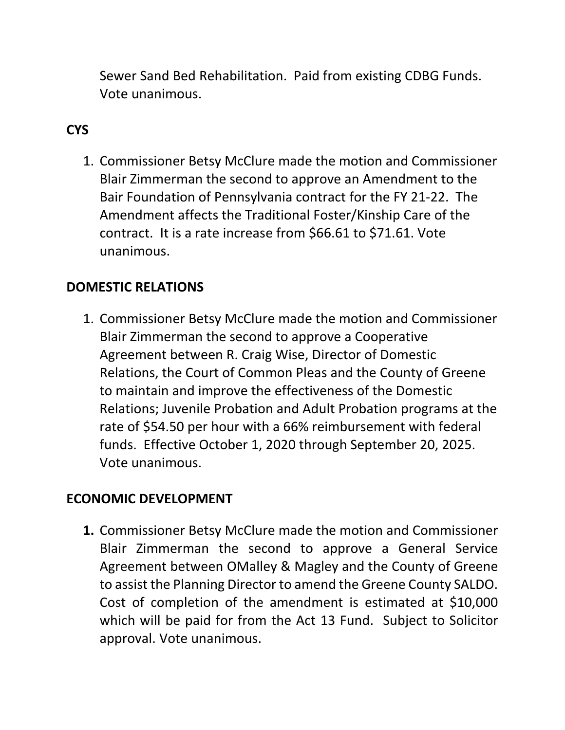Sewer Sand Bed Rehabilitation. Paid from existing CDBG Funds. Vote unanimous.

## **CYS**

1. Commissioner Betsy McClure made the motion and Commissioner Blair Zimmerman the second to approve an Amendment to the Bair Foundation of Pennsylvania contract for the FY 21-22. The Amendment affects the Traditional Foster/Kinship Care of the contract. It is a rate increase from \$66.61 to \$71.61. Vote unanimous.

## **DOMESTIC RELATIONS**

1. Commissioner Betsy McClure made the motion and Commissioner Blair Zimmerman the second to approve a Cooperative Agreement between R. Craig Wise, Director of Domestic Relations, the Court of Common Pleas and the County of Greene to maintain and improve the effectiveness of the Domestic Relations; Juvenile Probation and Adult Probation programs at the rate of \$54.50 per hour with a 66% reimbursement with federal funds. Effective October 1, 2020 through September 20, 2025. Vote unanimous.

## **ECONOMIC DEVELOPMENT**

**1.** Commissioner Betsy McClure made the motion and Commissioner Blair Zimmerman the second to approve a General Service Agreement between OMalley & Magley and the County of Greene to assist the Planning Director to amend the Greene County SALDO. Cost of completion of the amendment is estimated at \$10,000 which will be paid for from the Act 13 Fund. Subject to Solicitor approval. Vote unanimous.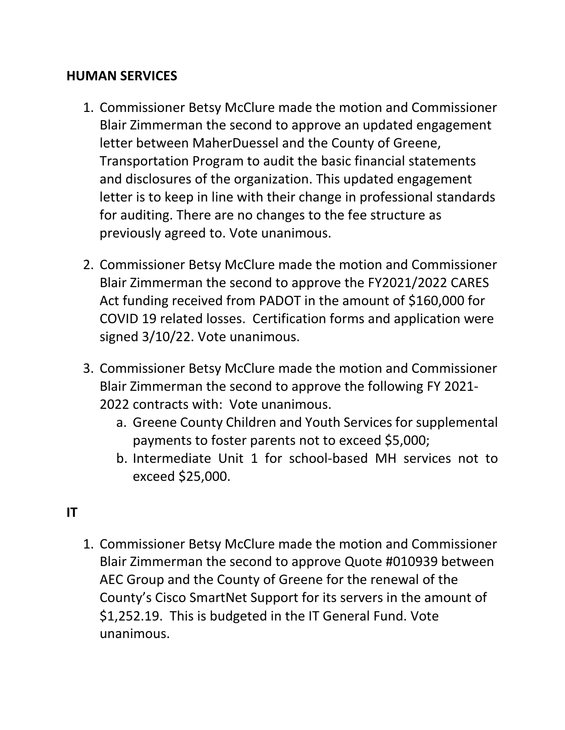#### **HUMAN SERVICES**

- 1. Commissioner Betsy McClure made the motion and Commissioner Blair Zimmerman the second to approve an updated engagement letter between MaherDuessel and the County of Greene, Transportation Program to audit the basic financial statements and disclosures of the organization. This updated engagement letter is to keep in line with their change in professional standards for auditing. There are no changes to the fee structure as previously agreed to. Vote unanimous.
- 2. Commissioner Betsy McClure made the motion and Commissioner Blair Zimmerman the second to approve the FY2021/2022 CARES Act funding received from PADOT in the amount of \$160,000 for COVID 19 related losses. Certification forms and application were signed 3/10/22. Vote unanimous.
- 3. Commissioner Betsy McClure made the motion and Commissioner Blair Zimmerman the second to approve the following FY 2021- 2022 contracts with: Vote unanimous.
	- a. Greene County Children and Youth Services for supplemental payments to foster parents not to exceed \$5,000;
	- b. Intermediate Unit 1 for school-based MH services not to exceed \$25,000.

## **IT**

1. Commissioner Betsy McClure made the motion and Commissioner Blair Zimmerman the second to approve Quote #010939 between AEC Group and the County of Greene for the renewal of the County's Cisco SmartNet Support for its servers in the amount of \$1,252.19. This is budgeted in the IT General Fund. Vote unanimous.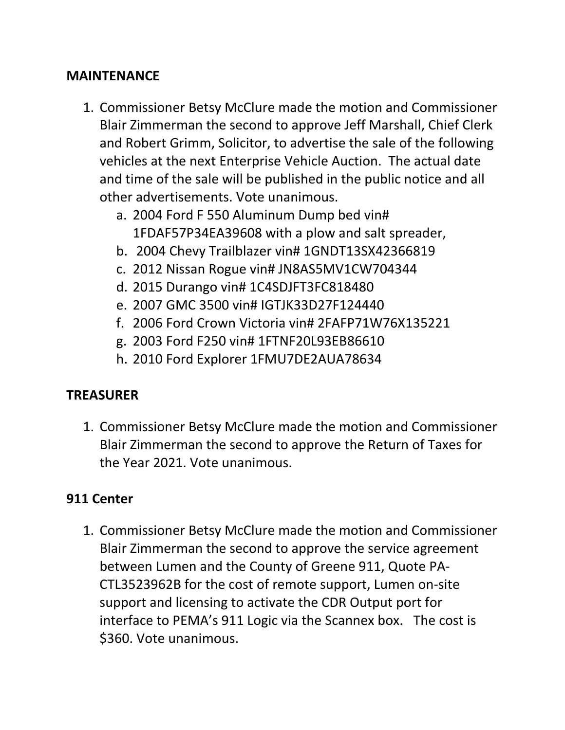#### **MAINTENANCE**

- 1. Commissioner Betsy McClure made the motion and Commissioner Blair Zimmerman the second to approve Jeff Marshall, Chief Clerk and Robert Grimm, Solicitor, to advertise the sale of the following vehicles at the next Enterprise Vehicle Auction. The actual date and time of the sale will be published in the public notice and all other advertisements. Vote unanimous.
	- a. 2004 Ford F 550 Aluminum Dump bed vin# 1FDAF57P34EA39608 with a plow and salt spreader,
	- b. 2004 Chevy Trailblazer vin# 1GNDT13SX42366819
	- c. 2012 Nissan Rogue vin# JN8AS5MV1CW704344
	- d. 2015 Durango vin# 1C4SDJFT3FC818480
	- e. 2007 GMC 3500 vin# IGTJK33D27F124440
	- f. 2006 Ford Crown Victoria vin# 2FAFP71W76X135221
	- g. 2003 Ford F250 vin# 1FTNF20L93EB86610
	- h. 2010 Ford Explorer 1FMU7DE2AUA78634

### **TREASURER**

1. Commissioner Betsy McClure made the motion and Commissioner Blair Zimmerman the second to approve the Return of Taxes for the Year 2021. Vote unanimous.

### **911 Center**

1. Commissioner Betsy McClure made the motion and Commissioner Blair Zimmerman the second to approve the service agreement between Lumen and the County of Greene 911, Quote PA-CTL3523962B for the cost of remote support, Lumen on-site support and licensing to activate the CDR Output port for interface to PEMA's 911 Logic via the Scannex box. The cost is \$360. Vote unanimous.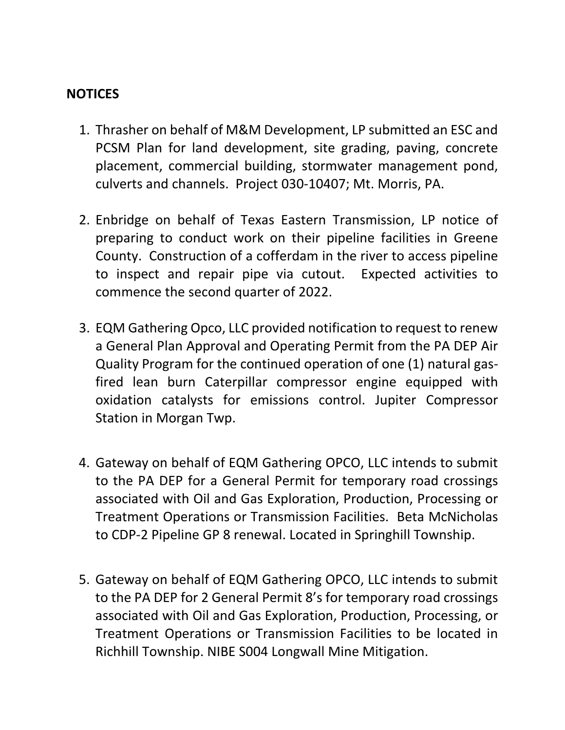#### **NOTICES**

- 1. Thrasher on behalf of M&M Development, LP submitted an ESC and PCSM Plan for land development, site grading, paving, concrete placement, commercial building, stormwater management pond, culverts and channels. Project 030-10407; Mt. Morris, PA.
- 2. Enbridge on behalf of Texas Eastern Transmission, LP notice of preparing to conduct work on their pipeline facilities in Greene County. Construction of a cofferdam in the river to access pipeline to inspect and repair pipe via cutout. Expected activities to commence the second quarter of 2022.
- 3. EQM Gathering Opco, LLC provided notification to request to renew a General Plan Approval and Operating Permit from the PA DEP Air Quality Program for the continued operation of one (1) natural gasfired lean burn Caterpillar compressor engine equipped with oxidation catalysts for emissions control. Jupiter Compressor Station in Morgan Twp.
- 4. Gateway on behalf of EQM Gathering OPCO, LLC intends to submit to the PA DEP for a General Permit for temporary road crossings associated with Oil and Gas Exploration, Production, Processing or Treatment Operations or Transmission Facilities. Beta McNicholas to CDP-2 Pipeline GP 8 renewal. Located in Springhill Township.
- 5. Gateway on behalf of EQM Gathering OPCO, LLC intends to submit to the PA DEP for 2 General Permit 8's for temporary road crossings associated with Oil and Gas Exploration, Production, Processing, or Treatment Operations or Transmission Facilities to be located in Richhill Township. NIBE S004 Longwall Mine Mitigation.